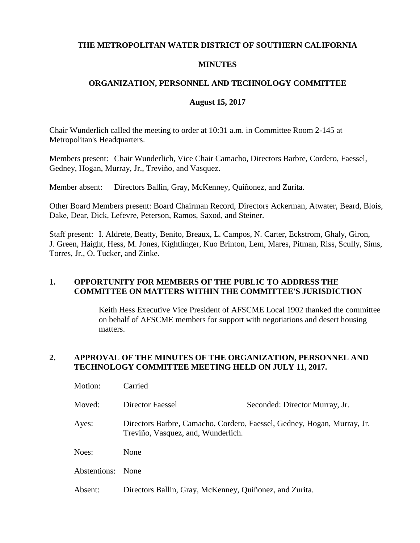### **THE METROPOLITAN WATER DISTRICT OF SOUTHERN CALIFORNIA**

# **MINUTES**

# **ORGANIZATION, PERSONNEL AND TECHNOLOGY COMMITTEE**

# **August 15, 2017**

Chair Wunderlich called the meeting to order at 10:31 a.m. in Committee Room 2-145 at Metropolitan's Headquarters.

Members present: Chair Wunderlich, Vice Chair Camacho, Directors Barbre, Cordero, Faessel, Gedney, Hogan, Murray, Jr., Treviño, and Vasquez.

Member absent: Directors Ballin, Gray, McKenney, Quiñonez, and Zurita.

Other Board Members present: Board Chairman Record, Directors Ackerman, Atwater, Beard, Blois, Dake, Dear, Dick, Lefevre, Peterson, Ramos, Saxod, and Steiner.

Staff present: I. Aldrete, Beatty, Benito, Breaux, L. Campos, N. Carter, Eckstrom, Ghaly, Giron, J. Green, Haight, Hess, M. Jones, Kightlinger, Kuo Brinton, Lem, Mares, Pitman, Riss, Scully, Sims, Torres, Jr., O. Tucker, and Zinke.

# **1. OPPORTUNITY FOR MEMBERS OF THE PUBLIC TO ADDRESS THE COMMITTEE ON MATTERS WITHIN THE COMMITTEE'S JURISDICTION**

Keith Hess Executive Vice President of AFSCME Local 1902 thanked the committee on behalf of AFSCME members for support with negotiations and desert housing matters.

### **2. APPROVAL OF THE MINUTES OF THE ORGANIZATION, PERSONNEL AND TECHNOLOGY COMMITTEE MEETING HELD ON JULY 11, 2017.**

| Motion:      | Carried                                                                                                       |                                |
|--------------|---------------------------------------------------------------------------------------------------------------|--------------------------------|
| Moved:       | Director Faessel                                                                                              | Seconded: Director Murray, Jr. |
| Ayes:        | Directors Barbre, Camacho, Cordero, Faessel, Gedney, Hogan, Murray, Jr.<br>Treviño, Vasquez, and, Wunderlich. |                                |
| Noes:        | None                                                                                                          |                                |
| Abstentions: | None                                                                                                          |                                |
| Absent:      | Directors Ballin, Gray, McKenney, Quiñonez, and Zurita.                                                       |                                |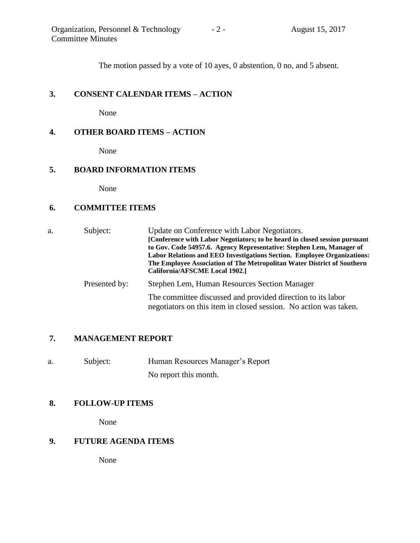The motion passed by a vote of 10 ayes, 0 abstention, 0 no, and 5 absent.

## **3. CONSENT CALENDAR ITEMS – ACTION**

None

## **4. OTHER BOARD ITEMS – ACTION**

None

### **5. BOARD INFORMATION ITEMS**

None

### **6. COMMITTEE ITEMS**

a. Subject: Update on Conference with Labor Negotiators. **[Conference with Labor Negotiators; to be heard in closed session pursuant to Gov. Code 54957.6. Agency Representative: Stephen Lem, Manager of Labor Relations and EEO Investigations Section. Employee Organizations: The Employee Association of The Metropolitan Water District of Southern California/AFSCME Local 1902.]** Presented by: Stephen Lem, Human Resources Section Manager The committee discussed and provided direction to its labor negotiators on this item in closed session. No action was taken.

### **7. MANAGEMENT REPORT**

a. Subject: Human Resources Manager's Report No report this month.

### **8. FOLLOW-UP ITEMS**

None

## **9. FUTURE AGENDA ITEMS**

None